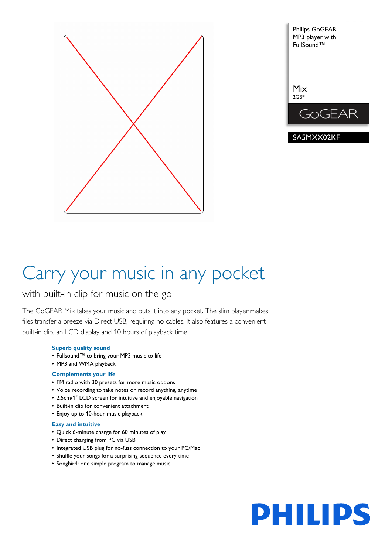



# Carry your music in any pocket

## with built-in clip for music on the go

The GoGEAR Mix takes your music and puts it into any pocket. The slim player makes files transfer a breeze via Direct USB, requiring no cables. It also features a convenient built-in clip, an LCD display and 10 hours of playback time.

## **Superb quality sound**

- Fullsound™ to bring your MP3 music to life
- MP3 and WMA playback

## **Complements your life**

- FM radio with 30 presets for more music options
- Voice recording to take notes or record anything, anytime
- 2.5cm/1" LCD screen for intuitive and enjoyable navigation
- Built-in clip for convenient attachment
- Enjoy up to 10-hour music playback

## **Easy and intuitive**

- Quick 6-minute charge for 60 minutes of play
- Direct charging from PC via USB
- Integrated USB plug for no-fuss connection to your PC/Mac
- Shuffle your songs for a surprising sequence every time
- Songbird: one simple program to manage music

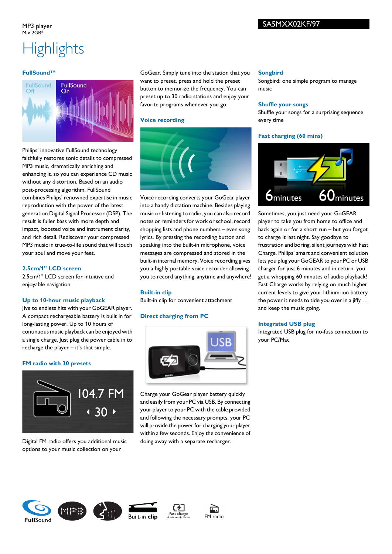### MP3 player  $Mix 2GR*$

## SA5MXX02KF/97

## **Highlights**

## **FullSound™**



Philips' innovative FullSound technology faithfully restores sonic details to compressed MP3 music, dramatically enriching and enhancing it, so you can experience CD music without any distortion. Based on an audio post-processing algorithm, FullSound combines Philips' renowned expertise in music reproduction with the power of the latest generation Digital Signal Processor (DSP). The result is fuller bass with more depth and impact, boosted voice and instrument clarity, and rich detail. Rediscover your compressed MP3 music in true-to-life sound that will touch your soul and move your feet.

## **2.5cm/1" LCD screen**

2.5cm/1" LCD screen for intuitive and enjoyable navigation

## **Up to 10-hour music playback**

Jive to endless hits with your GoGEAR player. A compact rechargeable battery is built in for long-lasting power. Up to 10 hours of continuous music playback can be enjoyed with a single charge. Just plug the power cable in to recharge the player – it's that simple.

## **FM radio with 30 presets**



Digital FM radio offers you additional music options to your music collection on your

GoGear. Simply tune into the station that you want to preset, press and hold the preset button to memorize the frequency. You can preset up to 30 radio stations and enjoy your favorite programs whenever you go.

## **Voice recording**



Voice recording converts your GoGear player into a handy dictation machine. Besides playing music or listening to radio, you can also record notes or reminders for work or school, record shopping lists and phone numbers – even song lyrics. By pressing the recording button and speaking into the built-in microphone, voice messages are compressed and stored in the built-in internal memory. Voice recording gives you a highly portable voice recorder allowing you to record anything, anytime and anywhere!

## **Built-in clip**

Built-in clip for convenient attachment

## **Direct charging from PC**



Charge your GoGear player battery quickly and easily from your PC via USB. By connecting your player to your PC with the cable provided and following the necessary prompts, your PC will provide the power for charging your player within a few seconds. Enjoy the convenience of doing away with a separate recharger.

#### **Songbird**

Songbird: one simple program to manage music

#### **Shuffle your songs**

Shuffle your songs for a surprising sequence every time

## **Fast charging (60 mins)**



Sometimes, you just need your GoGEAR player to take you from home to office and back again or for a short run – but you forgot to charge it last night. Say goodbye to frustration and boring, silent journeys with Fast Charge. Philips' smart and convenient solution lets you plug your GoGEAR to your PC or USB charger for just 6 minutes and in return, you get a whopping 60 minutes of audio playback! Fast Charge works by relying on much higher current levels to give your lithium-ion battery the power it needs to tide you over in a jiffy … and keep the music going.

## **Integrated USB plug**

Integrated USB plug for no-fuss connection to your PC/Mac